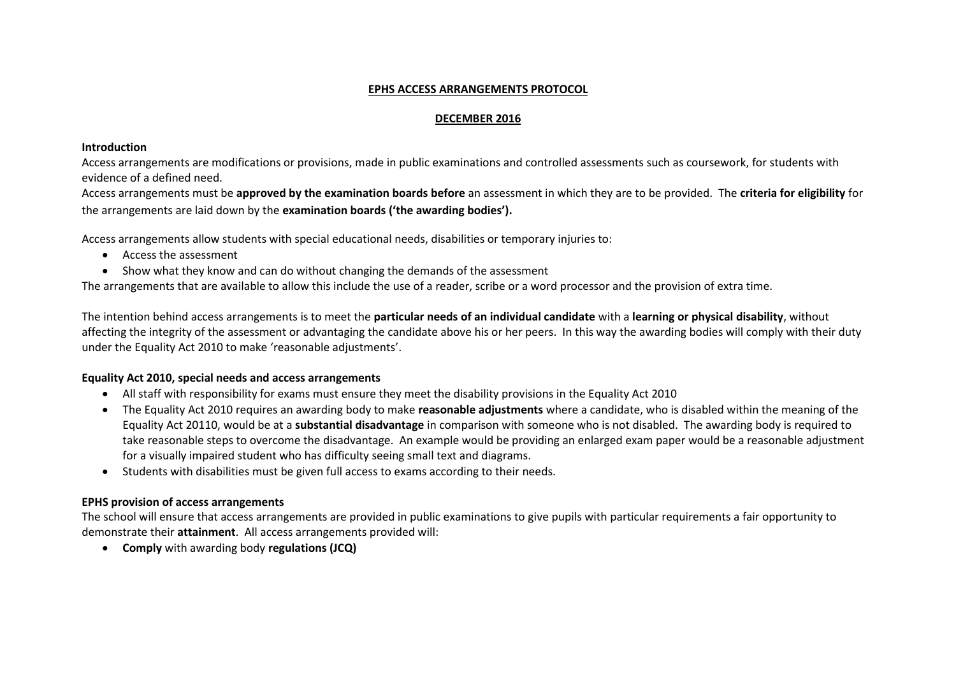#### **EPHS ACCESS ARRANGEMENTS PROTOCOL**

#### **DECEMBER 2016**

#### **Introduction**

Access arrangements are modifications or provisions, made in public examinations and controlled assessments such as coursework, for students with evidence of a defined need.

Access arrangements must be **approved by the examination boards before** an assessment in which they are to be provided. The **criteria for eligibility** for the arrangements are laid down by the **examination boards ('the awarding bodies').**

Access arrangements allow students with special educational needs, disabilities or temporary injuries to:

- Access the assessment
- Show what they know and can do without changing the demands of the assessment

The arrangements that are available to allow this include the use of a reader, scribe or a word processor and the provision of extra time.

The intention behind access arrangements is to meet the **particular needs of an individual candidate** with a **learning or physical disability**, without affecting the integrity of the assessment or advantaging the candidate above his or her peers. In this way the awarding bodies will comply with their duty under the Equality Act 2010 to make 'reasonable adjustments'.

#### **Equality Act 2010, special needs and access arrangements**

- All staff with responsibility for exams must ensure they meet the disability provisions in the Equality Act 2010
- The Equality Act 2010 requires an awarding body to make **reasonable adjustments** where a candidate, who is disabled within the meaning of the Equality Act 20110, would be at a **substantial disadvantage** in comparison with someone who is not disabled. The awarding body is required to take reasonable steps to overcome the disadvantage. An example would be providing an enlarged exam paper would be a reasonable adjustment for a visually impaired student who has difficulty seeing small text and diagrams.
- Students with disabilities must be given full access to exams according to their needs.

#### **EPHS provision of access arrangements**

The school will ensure that access arrangements are provided in public examinations to give pupils with particular requirements a fair opportunity to demonstrate their **attainment**. All access arrangements provided will:

**Comply** with awarding body **regulations (JCQ)**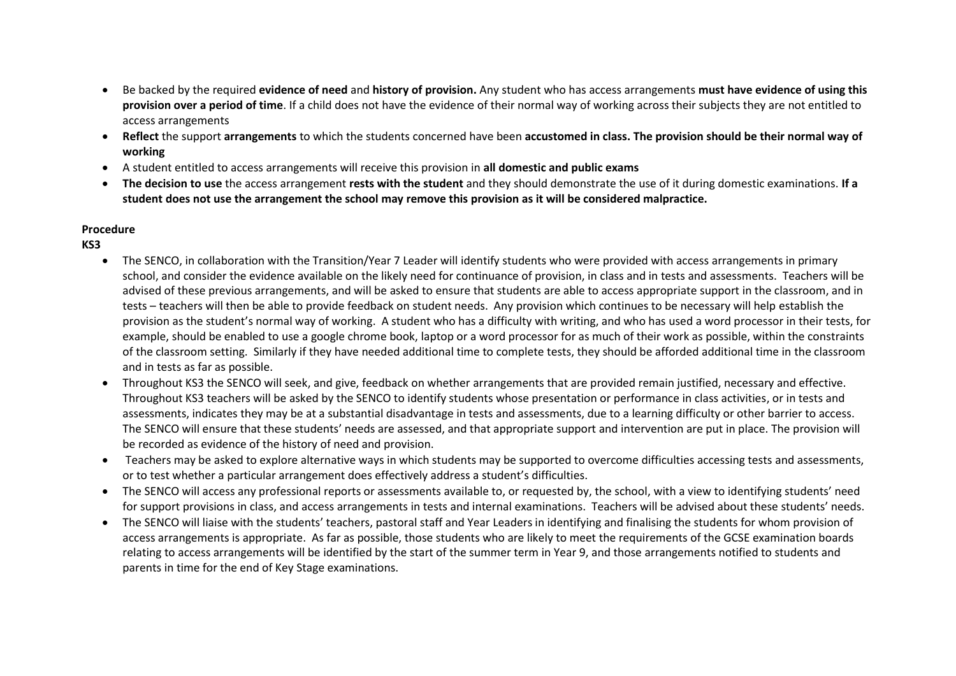- Be backed by the required **evidence of need** and **history of provision.** Any student who has access arrangements **must have evidence of using this provision over a period of time**. If a child does not have the evidence of their normal way of working across their subjects they are not entitled to access arrangements
- **Reflect** the support **arrangements** to which the students concerned have been **accustomed in class. The provision should be their normal way of working**
- A student entitled to access arrangements will receive this provision in **all domestic and public exams**
- **The decision to use** the access arrangement **rests with the student** and they should demonstrate the use of it during domestic examinations. **If a student does not use the arrangement the school may remove this provision as it will be considered malpractice.**

#### **Procedure**

### **KS3**

- The SENCO, in collaboration with the Transition/Year 7 Leader will identify students who were provided with access arrangements in primary school, and consider the evidence available on the likely need for continuance of provision, in class and in tests and assessments. Teachers will be advised of these previous arrangements, and will be asked to ensure that students are able to access appropriate support in the classroom, and in tests – teachers will then be able to provide feedback on student needs. Any provision which continues to be necessary will help establish the provision as the student's normal way of working. A student who has a difficulty with writing, and who has used a word processor in their tests, for example, should be enabled to use a google chrome book, laptop or a word processor for as much of their work as possible, within the constraints of the classroom setting. Similarly if they have needed additional time to complete tests, they should be afforded additional time in the classroom and in tests as far as possible.
- Throughout KS3 the SENCO will seek, and give, feedback on whether arrangements that are provided remain justified, necessary and effective. Throughout KS3 teachers will be asked by the SENCO to identify students whose presentation or performance in class activities, or in tests and assessments, indicates they may be at a substantial disadvantage in tests and assessments, due to a learning difficulty or other barrier to access. The SENCO will ensure that these students' needs are assessed, and that appropriate support and intervention are put in place. The provision will be recorded as evidence of the history of need and provision.
- Teachers may be asked to explore alternative ways in which students may be supported to overcome difficulties accessing tests and assessments, or to test whether a particular arrangement does effectively address a student's difficulties.
- The SENCO will access any professional reports or assessments available to, or requested by, the school, with a view to identifying students' need for support provisions in class, and access arrangements in tests and internal examinations. Teachers will be advised about these students' needs.
- The SENCO will liaise with the students' teachers, pastoral staff and Year Leaders in identifying and finalising the students for whom provision of access arrangements is appropriate. As far as possible, those students who are likely to meet the requirements of the GCSE examination boards relating to access arrangements will be identified by the start of the summer term in Year 9, and those arrangements notified to students and parents in time for the end of Key Stage examinations.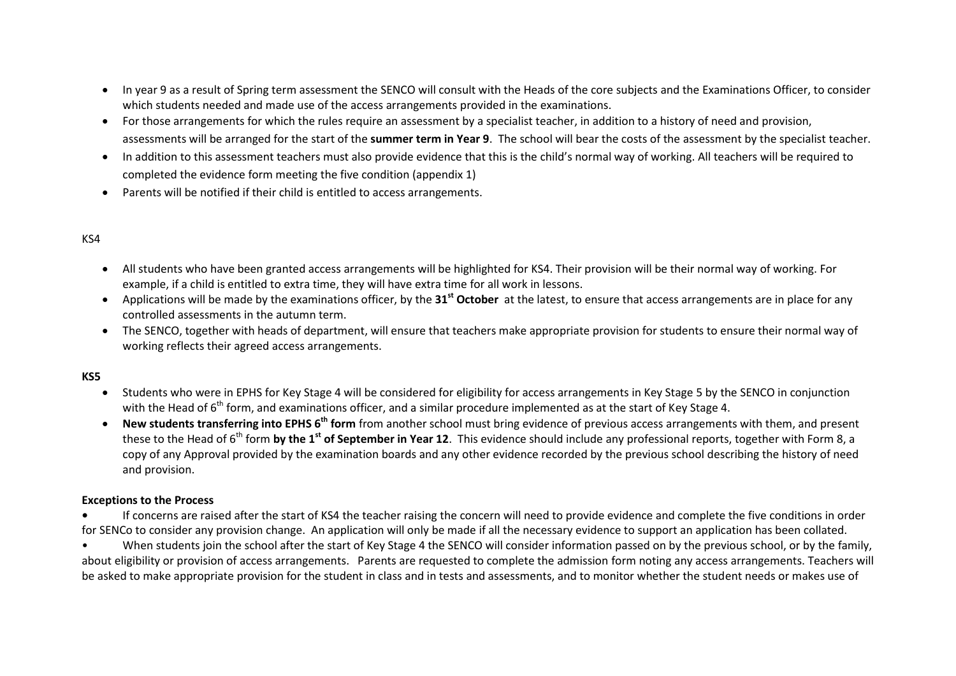- In year 9 as a result of Spring term assessment the SENCO will consult with the Heads of the core subjects and the Examinations Officer, to consider which students needed and made use of the access arrangements provided in the examinations.
- For those arrangements for which the rules require an assessment by a specialist teacher, in addition to a history of need and provision, assessments will be arranged for the start of the **summer term in Year 9**. The school will bear the costs of the assessment by the specialist teacher.
- In addition to this assessment teachers must also provide evidence that this is the child's normal way of working. All teachers will be required to completed the evidence form meeting the five condition (appendix 1)
- Parents will be notified if their child is entitled to access arrangements.

#### KS4

- All students who have been granted access arrangements will be highlighted for KS4. Their provision will be their normal way of working. For example, if a child is entitled to extra time, they will have extra time for all work in lessons.
- Applications will be made by the examinations officer, by the **31st October** at the latest, to ensure that access arrangements are in place for any controlled assessments in the autumn term.
- The SENCO, together with heads of department, will ensure that teachers make appropriate provision for students to ensure their normal way of working reflects their agreed access arrangements.

#### **KS5**

- Students who were in EPHS for Key Stage 4 will be considered for eligibility for access arrangements in Key Stage 5 by the SENCO in conjunction with the Head of 6<sup>th</sup> form, and examinations officer, and a similar procedure implemented as at the start of Key Stage 4.
- **New students transferring into EPHS 6<sup>th</sup> form** from another school must bring evidence of previous access arrangements with them, and present these to the Head of 6<sup>th</sup> form by the 1<sup>st</sup> of September in Year 12. This evidence should include any professional reports, together with Form 8, a copy of any Approval provided by the examination boards and any other evidence recorded by the previous school describing the history of need and provision.

#### **Exceptions to the Process**

**•** If concerns are raised after the start of KS4 the teacher raising the concern will need to provide evidence and complete the five conditions in order for SENCo to consider any provision change. An application will only be made if all the necessary evidence to support an application has been collated.

When students join the school after the start of Key Stage 4 the SENCO will consider information passed on by the previous school, or by the family, about eligibility or provision of access arrangements. Parents are requested to complete the admission form noting any access arrangements. Teachers will be asked to make appropriate provision for the student in class and in tests and assessments, and to monitor whether the student needs or makes use of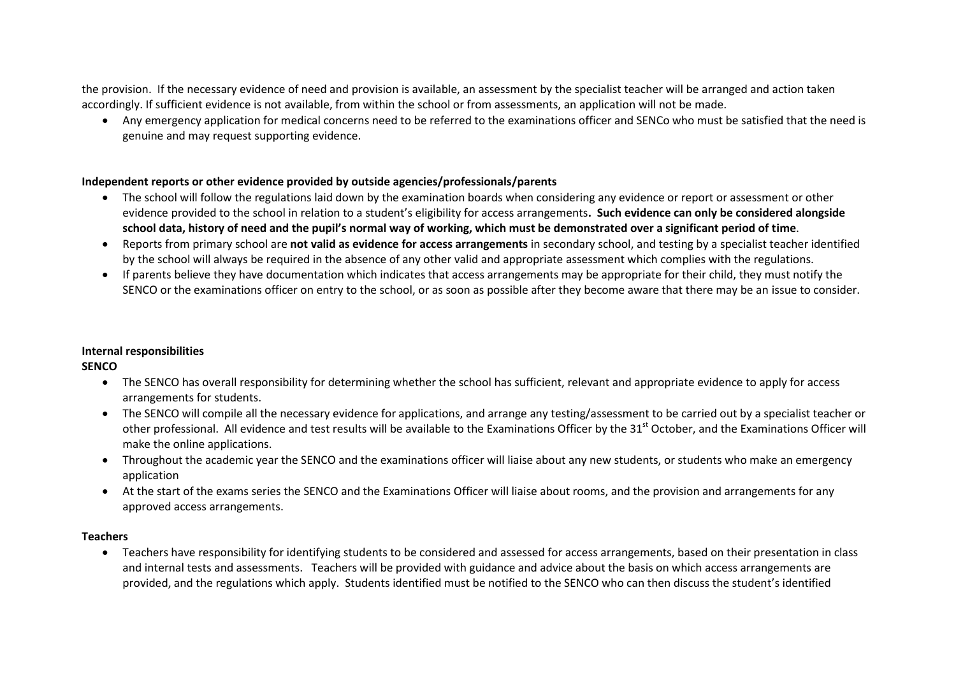the provision. If the necessary evidence of need and provision is available, an assessment by the specialist teacher will be arranged and action taken accordingly. If sufficient evidence is not available, from within the school or from assessments, an application will not be made.

 Any emergency application for medical concerns need to be referred to the examinations officer and SENCo who must be satisfied that the need is genuine and may request supporting evidence.

#### **Independent reports or other evidence provided by outside agencies/professionals/parents**

- The school will follow the regulations laid down by the examination boards when considering any evidence or report or assessment or other evidence provided to the school in relation to a student's eligibility for access arrangements**. Such evidence can only be considered alongside school data, history of need and the pupil's normal way of working, which must be demonstrated over a significant period of time**.
- Reports from primary school are **not valid as evidence for access arrangements** in secondary school, and testing by a specialist teacher identified by the school will always be required in the absence of any other valid and appropriate assessment which complies with the regulations.
- If parents believe they have documentation which indicates that access arrangements may be appropriate for their child, they must notify the SENCO or the examinations officer on entry to the school, or as soon as possible after they become aware that there may be an issue to consider.

#### **Internal responsibilities**

**SENCO**

- The SENCO has overall responsibility for determining whether the school has sufficient, relevant and appropriate evidence to apply for access arrangements for students.
- The SENCO will compile all the necessary evidence for applications, and arrange any testing/assessment to be carried out by a specialist teacher or other professional. All evidence and test results will be available to the Examinations Officer by the 31<sup>st</sup> October, and the Examinations Officer will make the online applications.
- Throughout the academic year the SENCO and the examinations officer will liaise about any new students, or students who make an emergency application
- At the start of the exams series the SENCO and the Examinations Officer will liaise about rooms, and the provision and arrangements for any approved access arrangements.

#### **Teachers**

 Teachers have responsibility for identifying students to be considered and assessed for access arrangements, based on their presentation in class and internal tests and assessments. Teachers will be provided with guidance and advice about the basis on which access arrangements are provided, and the regulations which apply. Students identified must be notified to the SENCO who can then discuss the student's identified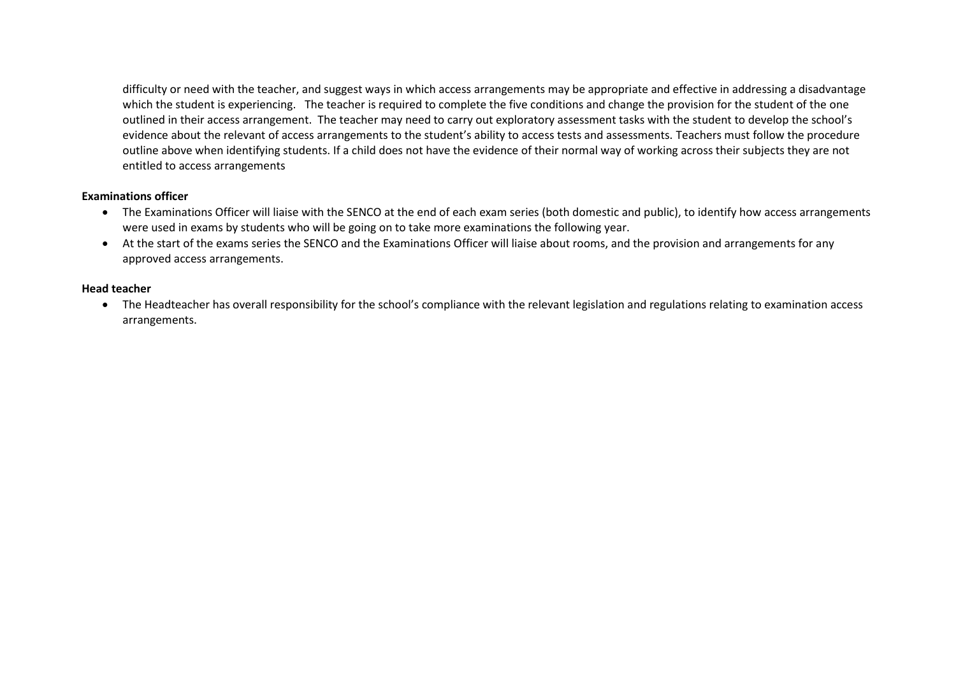difficulty or need with the teacher, and suggest ways in which access arrangements may be appropriate and effective in addressing a disadvantage which the student is experiencing. The teacher is required to complete the five conditions and change the provision for the student of the one outlined in their access arrangement. The teacher may need to carry out exploratory assessment tasks with the student to develop the school's evidence about the relevant of access arrangements to the student's ability to access tests and assessments. Teachers must follow the procedure outline above when identifying students. If a child does not have the evidence of their normal way of working across their subjects they are not entitled to access arrangements

#### **Examinations officer**

- The Examinations Officer will liaise with the SENCO at the end of each exam series (both domestic and public), to identify how access arrangements were used in exams by students who will be going on to take more examinations the following year.
- At the start of the exams series the SENCO and the Examinations Officer will liaise about rooms, and the provision and arrangements for any approved access arrangements.

#### **Head teacher**

 The Headteacher has overall responsibility for the school's compliance with the relevant legislation and regulations relating to examination access arrangements.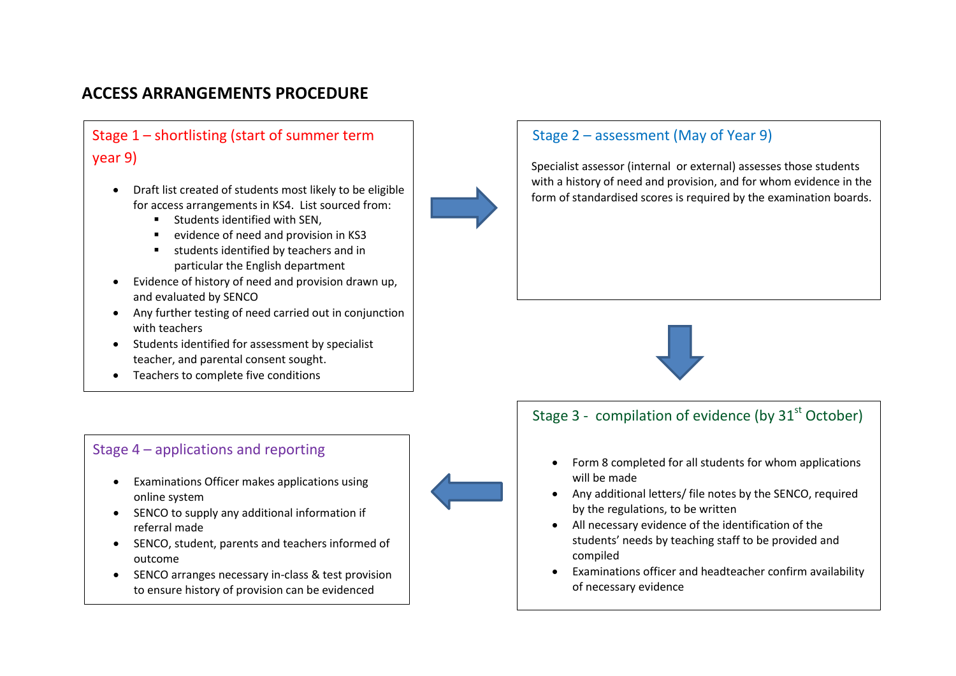## **ACCESS ARRANGEMENTS PROCEDURE**

# Stage 1 – shortlisting (start of summer term year 9)

- Draft list created of students most likely to be eligible for access arrangements in KS4. List sourced from:
	- **Students identified with SEN.**
	- evidence of need and provision in KS3
	- students identified by teachers and in particular the English department
- Evidence of history of need and provision drawn up, and evaluated by SENCO
- Any further testing of need carried out in conjunction with teachers
- Students identified for assessment by specialist teacher, and parental consent sought.
- Teachers to complete five conditions



- Examinations Officer makes applications using online system
- SENCO to supply any additional information if referral made
- SENCO, student, parents and teachers informed of outcome
- SENCO arranges necessary in-class & test provision to ensure history of provision can be evidenced

## Stage 2 – assessment (May of Year 9)

Specialist assessor (internal or external) assesses those students with a history of need and provision, and for whom evidence in the form of standardised scores is required by the examination boards.



## Stage 3 - compilation of evidence (by  $31<sup>st</sup>$  October)

- Form 8 completed for all students for whom applications will be made
- Any additional letters/ file notes by the SENCO, required by the regulations, to be written
- All necessary evidence of the identification of the students' needs by teaching staff to be provided and compiled
- Examinations officer and headteacher confirm availability of necessary evidence